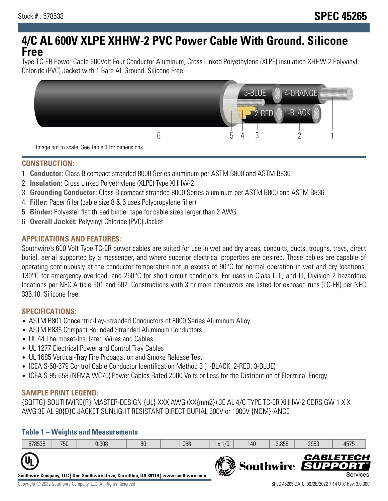# **4/C AL 600V XLPE XHHW-2 PVC Power Cable With Ground. Silicone Free**

Type TC-ER Power Cable 600Volt Four Conductor Aluminum, Cross Linked Polyethylene (XLPE) insulation XHHW-2 Polyvinyl Chloride (PVC) Jacket with 1 Bare AL Ground. Silicone Free.



**CONSTRUCTION:**

- 1. **Conductor:** Class B compact stranded 8000 Series aluminum per ASTM B800 and ASTM B836
- 2. **Insulation:** Cross Linked Polyethylene (XLPE) Type XHHW-2
- 3. **Grounding Conductor:** Class B compact stranded 8000 Series aluminum per ASTM B800 and ASTM B836
- 4. **Filler:** Paper filler (cable size 8 & 6 uses Polypropylene filler)
- 5. **Binder:** Polyester flat thread binder tape for cable sizes larger than 2 AWG
- 6. **Overall Jacket:** Polyvinyl Chloride (PVC) Jacket

# **APPLICATIONS AND FEATURES:**

Southwire's 600 Volt Type TC-ER power cables are suited for use in wet and dry areas, conduits, ducts, troughs, trays, direct burial, aerial supported by a messenger, and where superior electrical properties are desired. These cables are capable of operating continuously at the conductor temperature not in excess of 90°C for normal operation in wet and dry locations, 130°C for emergency overload, and 250°C for short circuit conditions. For uses in Class I, II, and III, Division 2 hazardous locations per NEC Article 501 and 502. Constructions with 3 or more conductors are listed for exposed runs (TC-ER) per NEC 336.10. Silicone free.

### **SPECIFICATIONS:**

- ASTM B801 Concentric-Lay-Stranded Conductors of 8000 Series Aluminum Alloy
- ASTM B836 Compact Rounded Stranded Aluminum Conductors
- UL 44 Thermoset-Insulated Wires and Cables
- UL 1277 Electrical Power and Control Tray Cables
- UL 1685 Vertical-Tray Fire Propagation and Smoke Release Test
- ICEA S-58-679 Control Cable Conductor Identification Method 3 (1-BLACK, 2-RED, 3-BLUE)
- ICEA S-95-658 (NEMA WC70) Power Cables Rated 2000 Volts or Less for the Distribution of Electrical Energy

### **SAMPLE PRINT LEGEND:**

{SQFTG} SOUTHWIRE{R} MASTER-DESIGN {UL} XXX AWG (XX{mm2}) 3E AL 4/C TYPE TC-ER XHHW-2 CDRS GW 1 X X AWG 3E AL 90{D}C JACKET SUNLIGHT RESISTANT DIRECT BURIAL 600V or 1000V {NOM}-ANCE

# **Table 1 – Weights and Measurements**

|                                                                                                                   | 578538 | 750 | 0.908 | 80 | .068 | x 1/0 | 140 | 2.858 | 2953              | 4575                         |
|-------------------------------------------------------------------------------------------------------------------|--------|-----|-------|----|------|-------|-----|-------|-------------------|------------------------------|
| $\mathbf{u}_\mathbf{L}$<br>Southwire Company, LLC   One Southwire Drive, Carrollton, GA 30119   www.southwire.com |        |     |       |    |      |       | 修築  |       | Southwire SUPPORT | <b>CABLETECH</b><br>Services |